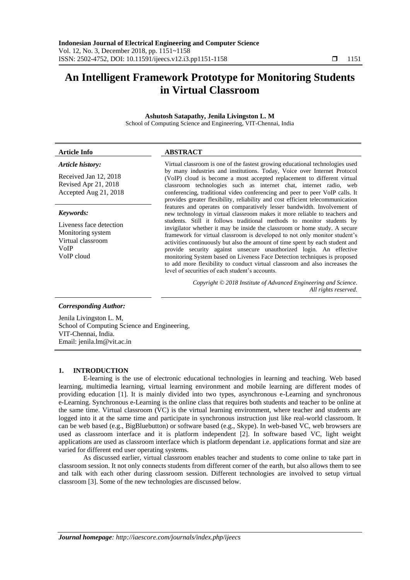# **An Intelligent Framework Prototype for Monitoring Students in Virtual Classroom**

# **Ashutosh Satapathy, Jenila Livingston L. M**

School of Computing Science and Engineering, VIT-Chennai, India

| Article history:                                                                        | Virtual classroom is one of the fastest growing educational technologies used                                                                                                                                                                                                                                                                                                                                                                                         |
|-----------------------------------------------------------------------------------------|-----------------------------------------------------------------------------------------------------------------------------------------------------------------------------------------------------------------------------------------------------------------------------------------------------------------------------------------------------------------------------------------------------------------------------------------------------------------------|
| Received Jan 12, 2018<br>Revised Apr 21, 2018<br>Accepted Aug 21, 2018                  | by many industries and institutions. Today, Voice over Internet Protocol<br>(VoIP) cloud is become a most accepted replacement to different virtual<br>classroom technologies such as internet chat, internet radio, web<br>conferencing, traditional video conferencing and peer to peer VoIP calls. It<br>provides greater flexibility, reliability and cost efficient telecommunication                                                                            |
| Keywords:                                                                               | features and operates on comparatively lesser bandwidth. Involvement of<br>new technology in virtual classroom makes it more reliable to teachers and                                                                                                                                                                                                                                                                                                                 |
| Liveness face detection<br>Monitoring system<br>Virtual classroom<br>VoIP<br>VoIP cloud | students. Still it follows traditional methods to monitor students by<br>invigilator whether it may be inside the classroom or home study. A secure<br>framework for virtual classroom is developed to not only monitor student's<br>activities continuously but also the amount of time spent by each student and<br>provide security against unsecure unauthorized login. An effective<br>monitoring System based on Liveness Face Detection techniques is proposed |

level of securities of each student's accounts.

*Copyright © 2018 Institute of Advanced Engineering and Science. All rights reserved.*

to add more flexibility to conduct virtual classroom and also increases the

#### *Corresponding Author:*

Jenila Livingston L. M, School of Computing Science and Engineering, VIT-Chennai, India. Email: jenila.lm@vit.ac.in

**Article Info ABSTRACT**

#### **1. INTRODUCTION**

E-learning is the use of electronic educational technologies in learning and teaching. Web based learning, multimedia learning, virtual learning environment and mobile learning are different modes of providing education [1]. It is mainly divided into two types, asynchronous e-Learning and synchronous e-Learning. Synchronous e-Learning is the online class that requires both students and teacher to be online at the same time. Virtual classroom (VC) is the virtual learning environment, where teacher and students are logged into it at the same time and participate in synchronous instruction just like real-world classroom. It can be web based (e.g., BigBluebutton) or software based (e.g., Skype). In web-based VC, web browsers are used as classroom interface and it is platform independent [2]. In software based VC, light weight applications are used as classroom interface which is platform dependant i.e. applications format and size are varied for different end user operating systems.

As discussed earlier, virtual classroom enables teacher and students to come online to take part in classroom session. It not only connects students from different corner of the earth, but also allows them to see and talk with each other during classroom session. Different technologies are involved to setup virtual classroom [3]. Some of the new technologies are discussed below.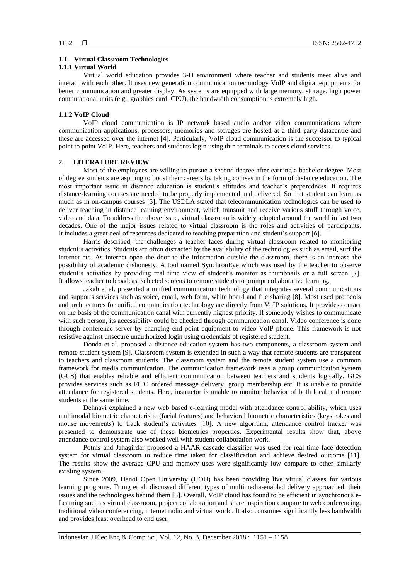## **1.1. Virtual Classroom Technologies**

## **1.1.1 Virtual World**

Virtual world education provides 3-D environment where teacher and students meet alive and interact with each other. It uses new generation communication technology VoIP and digital equipments for better communication and greater display. As systems are equipped with large memory, storage, high power computational units (e.g., graphics card, CPU), the bandwidth consumption is extremely high.

### **1.1.2 VoIP Cloud**

VoIP cloud communication is IP network based audio and/or video communications where communication applications, processors, memories and storages are hosted at a third party datacentre and these are accessed over the internet [4]. Particularly, VoIP cloud communication is the successor to typical point to point VoIP. Here, teachers and students login using thin terminals to access cloud services.

## **2. LITERATURE REVIEW**

Most of the employees are willing to pursue a second degree after earning a bachelor degree. Most of degree students are aspiring to boost their careers by taking courses in the form of distance education. The most important issue in distance education is student's attitudes and teacher's preparedness. It requires distance-learning courses are needed to be properly implemented and delivered. So that student can learn as much as in on-campus courses [5]. The USDLA stated that telecommunication technologies can be used to deliver teaching in distance learning environment, which transmit and receive various stuff through voice, video and data. To address the above issue, virtual classroom is widely adopted around the world in last two decades. One of the major issues related to virtual classroom is the roles and activities of participants. It includes a great deal of resources dedicated to teaching preparation and student's support [6].

Harris described, the challenges a teacher faces during virtual classroom related to monitoring student's activities. Students are often distracted by the availability of the technologies such as email, surf the internet etc. As internet open the door to the information outside the classroom, there is an increase the possibility of academic dishonesty. A tool named SynchronEye which was used by the teacher to observe student's activities by providing real time view of student's monitor as thumbnails or a full screen [7]. It allows teacher to broadcast selected screens to remote students to prompt collaborative learning.

Jakab et al. presented a unified communication technology that integrates several communications and supports services such as voice, email, web form, white board and file sharing [8]. Most used protocols and architectures for unified communication technology are directly from VoIP solutions. It provides contact on the basis of the communication canal with currently highest priority. If somebody wishes to communicate with such person, its accessibility could be checked through communication canal. Video conference is done through conference server by changing end point equipment to video VoIP phone. This framework is not resistive against unsecure unauthorized login using credentials of registered student.

Donda et al. proposed a distance education system has two components, a classroom system and remote student system [9]. Classroom system is extended in such a way that remote students are transparent to teachers and classroom students. The classroom system and the remote student system use a common framework for media communication. The communication framework uses a group communication system (GCS) that enables reliable and efficient communication between teachers and students logically. GCS provides services such as FIFO ordered message delivery, group membership etc. It is unable to provide attendance for registered students. Here, instructor is unable to monitor behavior of both local and remote students at the same time.

Dehnavi explained a new web based e-learning model with attendance control ability, which uses multimodal biometric characteristic (facial features) and behavioral biometric characteristics (keystrokes and mouse movements) to track student's activities [10]. A new algorithm, attendance control tracker was presented to demonstrate use of these biometrics properties. Experimental results show that, above attendance control system also worked well with student collaboration work.

Potnis and Jahagirdar proposed a HAAR cascade classifier was used for real time face detection system for virtual classroom to reduce time taken for classification and achieve desired outcome [11]. The results show the average CPU and memory uses were significantly low compare to other similarly existing system.

Since 2009, Hanoi Open University (HOU) has been providing live virtual classes for various learning programs. Trung et al. discussed different types of multimedia-enabled delivery approached, their issues and the technologies behind them [3]. Overall, VoIP cloud has found to be efficient in synchronous e-Learning such as virtual classroom, project collaboration and share inspiration compare to web conferencing, traditional video conferencing, internet radio and virtual world. It also consumes significantly less bandwidth and provides least overhead to end user.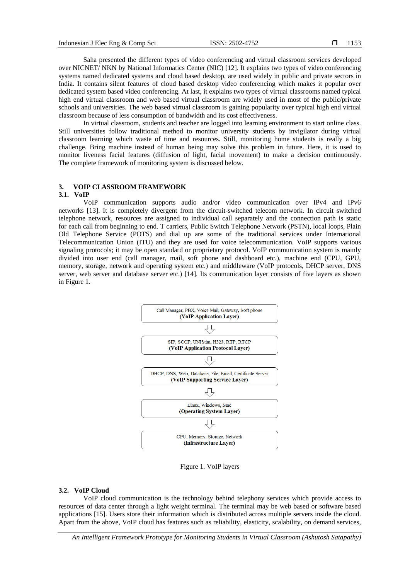Saha presented the different types of video conferencing and virtual classroom services developed over NICNET/ NKN by National Informatics Center (NIC) [12]. It explains two types of video conferencing systems named dedicated systems and cloud based desktop, are used widely in public and private sectors in India. It contains silent features of cloud based desktop video conferencing which makes it popular over dedicated system based video conferencing. At last, it explains two types of virtual classrooms named typical high end virtual classroom and web based virtual classroom are widely used in most of the public/private schools and universities. The web based virtual classroom is gaining popularity over typical high end virtual classroom because of less consumption of bandwidth and its cost effectiveness.

In virtual classroom, students and teacher are logged into learning environment to start online class. Still universities follow traditional method to monitor university students by invigilator during virtual classroom learning which waste of time and resources. Still, monitoring home students is really a big challenge. Bring machine instead of human being may solve this problem in future. Here, it is used to monitor liveness facial features (diffusion of light, facial movement) to make a decision continuously. The complete framework of monitoring system is discussed below.

# **3. VOIP CLASSROOM FRAMEWORK**

#### **3.1. VoIP**

VoIP communication supports audio and/or video communication over IPv4 and IPv6 networks [13]. It is completely divergent from the circuit-switched telecom network. In circuit switched telephone network, resources are assigned to individual call separately and the connection path is static for each call from beginning to end. T carriers, Public Switch Telephone Network (PSTN), local loops, Plain Old Telephone Service (POTS) and dial up are some of the traditional services under International Telecommunication Union (ITU) and they are used for voice telecommunication. VoIP supports various signaling protocols; it may be open standard or proprietary protocol. VoIP communication system is mainly divided into user end (call manager, mail, soft phone and dashboard etc.), machine end (CPU, GPU, memory, storage, network and operating system etc.) and middleware (VoIP protocols, DHCP server, DNS server, web server and database server etc.) [14]. Its communication layer consists of five layers as shown in Figure 1.



Figure 1. VoIP layers

## **3.2. VoIP Cloud**

VoIP cloud communication is the technology behind telephony services which provide access to resources of data center through a light weight terminal. The terminal may be web based or software based applications [15]. Users store their information which is distributed across multiple servers inside the cloud. Apart from the above, VoIP cloud has features such as reliability, elasticity, scalability, on demand services,

*An Intelligent Framework Prototype for Monitoring Students in Virtual Classroom (Ashutosh Satapathy)*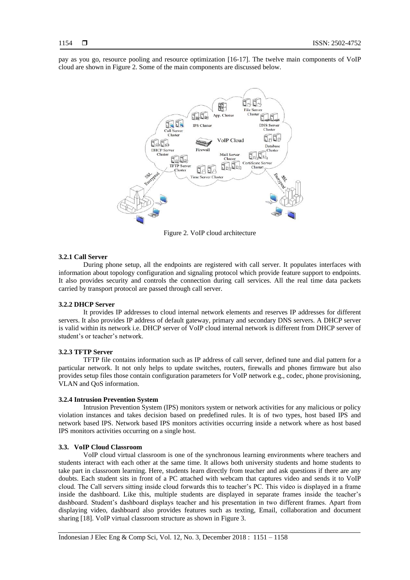pay as you go, resource pooling and resource optimization [16-17]. The twelve main components of VoIP cloud are shown in Figure 2. Some of the main components are discussed below.



Figure 2. VoIP cloud architecture

#### **3.2.1 Call Server**

During phone setup, all the endpoints are registered with call server. It populates interfaces with information about topology configuration and signaling protocol which provide feature support to endpoints. It also provides security and controls the connection during call services. All the real time data packets carried by transport protocol are passed through call server.

### **3.2.2 DHCP Server**

It provides IP addresses to cloud internal network elements and reserves IP addresses for different servers. It also provides IP address of default gateway, primary and secondary DNS servers. A DHCP server is valid within its network i.e. DHCP server of VoIP cloud internal network is different from DHCP server of student's or teacher's network.

# **3.2.3 TFTP Server**

TFTP file contains information such as IP address of call server, defined tune and dial pattern for a particular network. It not only helps to update switches, routers, firewalls and phones firmware but also provides setup files those contain configuration parameters for VoIP network e.g., codec, phone provisioning, VLAN and QoS information.

#### **3.2.4 Intrusion Prevention System**

Intrusion Prevention System (IPS) monitors system or network activities for any malicious or policy violation instances and takes decision based on predefined rules. It is of two types, host based IPS and network based IPS. Network based IPS monitors activities occurring inside a network where as host based IPS monitors activities occurring on a single host.

#### **3.3. VoIP Cloud Classroom**

VoIP cloud virtual classroom is one of the synchronous learning environments where teachers and students interact with each other at the same time. It allows both university students and home students to take part in classroom learning. Here, students learn directly from teacher and ask questions if there are any doubts. Each student sits in front of a PC attached with webcam that captures video and sends it to VoIP cloud. The Call servers sitting inside cloud forwards this to teacher's PC. This video is displayed in a frame inside the dashboard. Like this, multiple students are displayed in separate frames inside the teacher's dashboard. Student's dashboard displays teacher and his presentation in two different frames. Apart from displaying video, dashboard also provides features such as texting, Email, collaboration and document sharing [18]. VoIP virtual classroom structure as shown in Figure 3.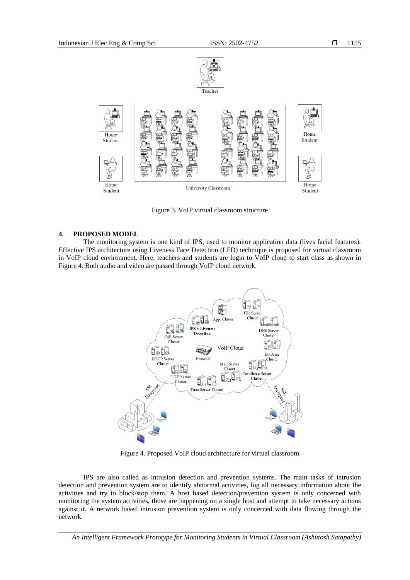



Figure 3. VoIP virtual classroom structure

# **4. PROPOSED MODEL**

The monitoring system is one kind of IPS, used to monitor application data (lives facial features). Effective IPS architecture using Liveness Face Detection (LFD) technique is proposed for virtual classroom in VoIP cloud environment. Here, teachers and students are login to VoIP cloud to start class as shown in Figure 4. Both audio and video are passed through VoIP cloud network.



Figure 4. Proposed VoIP cloud architecture for virtual classroom

IPS are also called as intrusion detection and prevention systems. The main tasks of intrusion detection and prevention system are to identify abnormal activities, log all necessary information about the activities and try to block/stop them. A host based detection/prevention system is only concerned with monitoring the system activities, those are happening on a single host and attempt to take necessary actions against it. A network based intrusion prevention system is only concerned with data flowing through the network.

*An Intelligent Framework Prototype for Monitoring Students in Virtual Classroom (Ashutosh Satapathy)*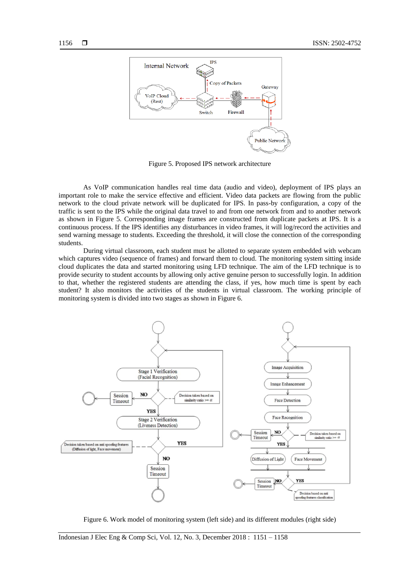

Figure 5. Proposed IPS network architecture

As VoIP communication handles real time data (audio and video), deployment of IPS plays an important role to make the service effective and efficient. Video data packets are flowing from the public network to the cloud private network will be duplicated for IPS. In pass-by configuration, a copy of the traffic is sent to the IPS while the original data travel to and from one network from and to another network as shown in Figure 5. Corresponding image frames are constructed from duplicate packets at IPS. It is a continuous process. If the IPS identifies any disturbances in video frames, it will log/record the activities and send warning message to students. Exceeding the threshold, it will close the connection of the corresponding students.

During virtual classroom, each student must be allotted to separate system embedded with webcam which captures video (sequence of frames) and forward them to cloud. The monitoring system sitting inside cloud duplicates the data and started monitoring using LFD technique. The aim of the LFD technique is to provide security to student accounts by allowing only active genuine person to successfully login. In addition to that, whether the registered students are attending the class, if yes, how much time is spent by each student? It also monitors the activities of the students in virtual classroom. The working principle of monitoring system is divided into two stages as shown in Figure 6.



Figure 6. Work model of monitoring system (left side) and its different modules (right side)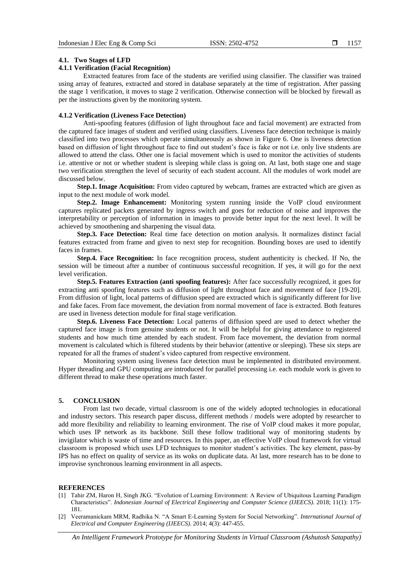#### **4.1. Two Stages of LFD**

# **4.1.1 Verification (Facial Recognition)**

Extracted features from face of the students are verified using classifier. The classifier was trained using array of features, extracted and stored in database separately at the time of registration. After passing the stage 1 verification, it moves to stage 2 verification. Otherwise connection will be blocked by firewall as per the instructions given by the monitoring system.

#### **4.1.2 Verification (Liveness Face Detection)**

Anti-spoofing features (diffusion of light throughout face and facial movement) are extracted from the captured face images of student and verified using classifiers. Liveness face detection technique is mainly classified into two processes which operate simultaneously as shown in Figure 6. One is liveness detection based on diffusion of light throughout face to find out student's face is fake or not i.e. only live students are allowed to attend the class. Other one is facial movement which is used to monitor the activities of students i.e. attentive or not or whether student is sleeping while class is going on. At last, both stage one and stage two verification strengthen the level of security of each student account. All the modules of work model are discussed below.

**Step.1. Image Acquisition:** From video captured by webcam, frames are extracted which are given as input to the next module of work model.

**Step.2. Image Enhancement:** Monitoring system running inside the VoIP cloud environment captures replicated packets generated by ingress switch and goes for reduction of noise and improves the interpretability or perception of information in images to provide better input for the next level. It will be achieved by smoothening and sharpening the visual data.

**Step.3. Face Detection:** Real time face detection on motion analysis. It normalizes distinct facial features extracted from frame and given to next step for recognition. Bounding boxes are used to identify faces in frames.

**Step.4. Face Recognition:** In face recognition process, student authenticity is checked. If No, the session will be timeout after a number of continuous successful recognition. If yes, it will go for the next level verification.

**Step.5. Features Extraction (anti spoofing features):** After face successfully recognized, it goes for extracting anti spoofing features such as diffusion of light throughout face and movement of face [19-20]. From diffusion of light, local patterns of diffusion speed are extracted which is significantly different for live and fake faces. From face movement, the deviation from normal movement of face is extracted. Both features are used in liveness detection module for final stage verification.

**Step.6. Liveness Face Detection:** Local patterns of diffusion speed are used to detect whether the captured face image is from genuine students or not. It will be helpful for giving attendance to registered students and how much time attended by each student. From face movement, the deviation from normal movement is calculated which is filtered students by their behavior (attentive or sleeping). These six steps are repeated for all the frames of student's video captured from respective environment.

Monitoring system using liveness face detection must be implemented in distributed environment. Hyper threading and GPU computing are introduced for parallel processing i.e. each module work is given to different thread to make these operations much faster.

## **5. CONCLUSION**

From last two decade, virtual classroom is one of the widely adopted technologies in educational and industry sectors. This research paper discuss, different methods / models were adopted by researcher to add more flexibility and reliability to learning environment. The rise of VoIP cloud makes it more popular, which uses IP network as its backbone. Still these follow traditional way of monitoring students by invigilator which is waste of time and resources. In this paper, an effective VoIP cloud framework for virtual classroom is proposed which uses LFD techniques to monitor student's activities. The key element, pass-by IPS has no effect on quality of service as its woks on duplicate data. At last, more research has to be done to improvise synchronous learning environment in all aspects.

## **REFERENCES**

- [1] Tahir ZM, Haron H, Singh JKG. "Evolution of Learning Environment: A Review of Ubiquitous Learning Paradigm Characteristics". *Indonesian Journal of Electrical Engineering and Computer Science (IJEECS)*. 2018; 11(1): 175- 181.
- [2] Veeramanickam MRM, Radhika N. "A Smart E-Learning System for Social Networking". *International Journal of Electrical and Computer Engineering (IJEECS)*. 2014; 4(3): 447-455.